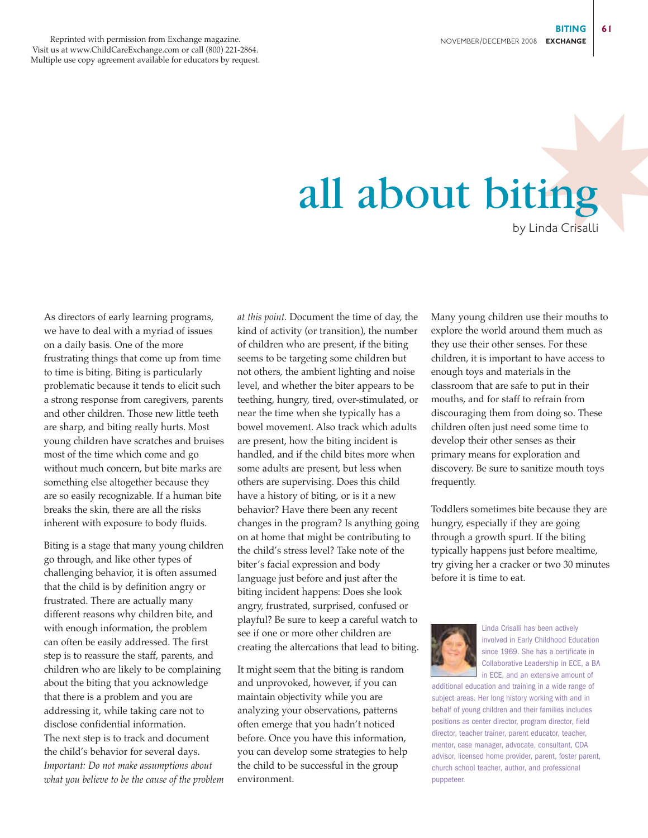## ✸ all about biting by Linda Crisalli

As directors of early learning programs, we have to deal with a myriad of issues on a daily basis. One of the more frustrating things that come up from time to time is biting. Biting is particularly problematic because it tends to elicit such a strong response from caregivers, parents and other children. Those new little teeth are sharp, and biting really hurts. Most young children have scratches and bruises most of the time which come and go without much concern, but bite marks are something else altogether because they are so easily recognizable. If a human bite breaks the skin, there are all the risks inherent with exposure to body fluids.

Biting is a stage that many young children go through, and like other types of challenging behavior, it is often assumed that the child is by definition angry or frustrated. There are actually many different reasons why children bite, and with enough information, the problem can often be easily addressed. The first step is to reassure the staff, parents, and children who are likely to be complaining about the biting that you acknowledge that there is a problem and you are addressing it, while taking care not to disclose confidential information. The next step is to track and document the child's behavior for several days. *Important: Do not make assumptions about what you believe to be the cause of the problem* *at this point.* Document the time of day, the kind of activity (or transition), the number of children who are present, if the biting seems to be targeting some children but not others, the ambient lighting and noise level, and whether the biter appears to be teething, hungry, tired, over-stimulated, or near the time when she typically has a bowel movement. Also track which adults are present, how the biting incident is handled, and if the child bites more when some adults are present, but less when others are supervising. Does this child have a history of biting, or is it a new behavior? Have there been any recent changes in the program? Is anything going on at home that might be contributing to the child's stress level? Take note of the biter's facial expression and body language just before and just after the biting incident happens: Does she look angry, frustrated, surprised, confused or playful? Be sure to keep a careful watch to see if one or more other children are creating the altercations that lead to biting.

It might seem that the biting is random and unprovoked, however, if you can maintain objectivity while you are analyzing your observations, patterns often emerge that you hadn't noticed before. Once you have this information, you can develop some strategies to help the child to be successful in the group environment.

Many young children use their mouths to explore the world around them much as they use their other senses. For these children, it is important to have access to enough toys and materials in the classroom that are safe to put in their mouths, and for staff to refrain from discouraging them from doing so. These children often just need some time to develop their other senses as their primary means for exploration and discovery. Be sure to sanitize mouth toys frequently.

Toddlers sometimes bite because they are hungry, especially if they are going through a growth spurt. If the biting typically happens just before mealtime, try giving her a cracker or two 30 minutes before it is time to eat.



Linda Crisalli has been actively involved in Early Childhood Education since 1969. She has a certificate in Collaborative Leadership in ECE, a BA in ECE, and an extensive amount of

additional education and training in a wide range of subject areas. Her long history working with and in behalf of young children and their families includes positions as center director, program director, field director, teacher trainer, parent educator, teacher, mentor, case manager, advocate, consultant, CDA advisor, licensed home provider, parent, foster parent, church school teacher, author, and professional puppeteer.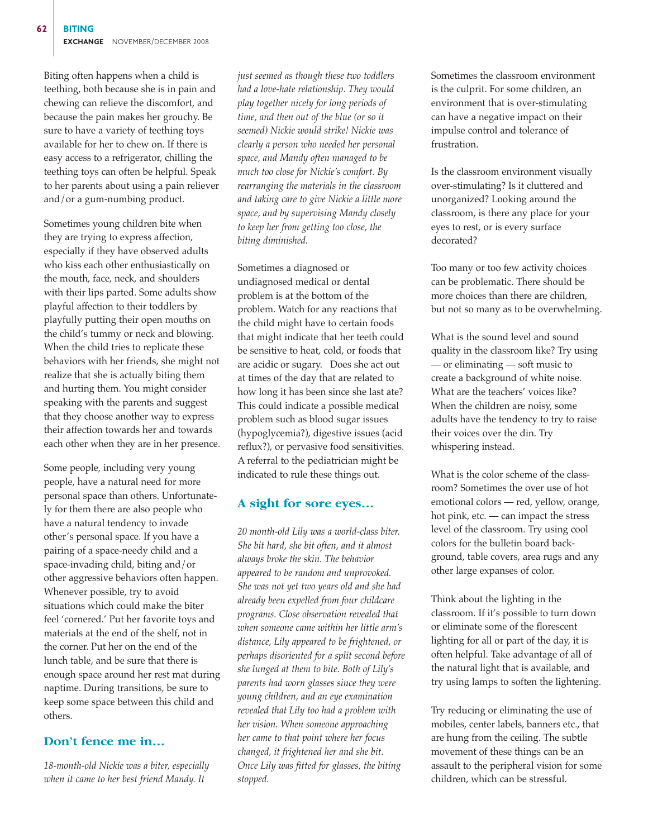Biting often happens when a child is teething, both because she is in pain and chewing can relieve the discomfort, and because the pain makes her grouchy. Be sure to have a variety of teething toys available for her to chew on. If there is easy access to a refrigerator, chilling the teething toys can often be helpful. Speak to her parents about using a pain reliever and/or a gum-numbing product.

Sometimes young children bite when they are trying to express affection, especially if they have observed adults who kiss each other enthusiastically on the mouth, face, neck, and shoulders with their lips parted. Some adults show playful affection to their toddlers by playfully putting their open mouths on the child's tummy or neck and blowing. When the child tries to replicate these behaviors with her friends, she might not realize that she is actually biting them and hurting them. You might consider speaking with the parents and suggest that they choose another way to express their affection towards her and towards each other when they are in her presence.

Some people, including very young people, have a natural need for more personal space than others. Unfortunately for them there are also people who have a natural tendency to invade other's personal space. If you have a pairing of a space-needy child and a space-invading child, biting and/or other aggressive behaviors often happen. Whenever possible, try to avoid situations which could make the biter feel 'cornered.' Put her favorite toys and materials at the end of the shelf, not in the corner. Put her on the end of the lunch table, and be sure that there is enough space around her rest mat during naptime. During transitions, be sure to keep some space between this child and others.

## **Don't fence me in…**

*18-month-old Nickie was a biter, especially when it came to her best friend Mandy. It*

*just seemed as though these two toddlers had a love-hate relationship. They would play together nicely for long periods of time, and then out of the blue (or so it seemed) Nickie would strike! Nickie was clearly a person who needed her personal space, and Mandy often managed to be much too close for Nickie's comfort. By rearranging the materials in the classroom and taking care to give Nickie a little more space, and by supervising Mandy closely to keep her from getting too close, the biting diminished.* 

Sometimes a diagnosed or undiagnosed medical or dental problem is at the bottom of the problem. Watch for any reactions that the child might have to certain foods that might indicate that her teeth could be sensitive to heat, cold, or foods that are acidic or sugary. Does she act out at times of the day that are related to how long it has been since she last ate? This could indicate a possible medical problem such as blood sugar issues (hypoglycemia?), digestive issues (acid reflux?), or pervasive food sensitivities. A referral to the pediatrician might be indicated to rule these things out.

## **A sight for sore eyes…**

*20 month-old Lily was a world-class biter. She bit hard, she bit often, and it almost always broke the skin. The behavior appeared to be random and unprovoked. She was not yet two years old and she had already been expelled from four childcare programs. Close observation revealed that when someone came within her little arm's distance, Lily appeared to be frightened, or perhaps disoriented for a split second before she lunged at them to bite. Both of Lily's parents had worn glasses since they were young children, and an eye examination revealed that Lily too had a problem with her vision. When someone approaching her came to that point where her focus changed, it frightened her and she bit. Once Lily was fitted for glasses, the biting stopped.* 

Sometimes the classroom environment is the culprit. For some children, an environment that is over-stimulating can have a negative impact on their impulse control and tolerance of frustration.

Is the classroom environment visually over-stimulating? Is it cluttered and unorganized? Looking around the classroom, is there any place for your eyes to rest, or is every surface decorated?

Too many or too few activity choices can be problematic. There should be more choices than there are children, but not so many as to be overwhelming.

What is the sound level and sound quality in the classroom like? Try using — or eliminating — soft music to create a background of white noise. What are the teachers' voices like? When the children are noisy, some adults have the tendency to try to raise their voices over the din. Try whispering instead.

What is the color scheme of the classroom? Sometimes the over use of hot emotional colors — red, yellow, orange, hot pink, etc. — can impact the stress level of the classroom. Try using cool colors for the bulletin board background, table covers, area rugs and any other large expanses of color.

Think about the lighting in the classroom. If it's possible to turn down or eliminate some of the florescent lighting for all or part of the day, it is often helpful. Take advantage of all of the natural light that is available, and try using lamps to soften the lightening.

Try reducing or eliminating the use of mobiles, center labels, banners etc., that are hung from the ceiling. The subtle movement of these things can be an assault to the peripheral vision for some children, which can be stressful.